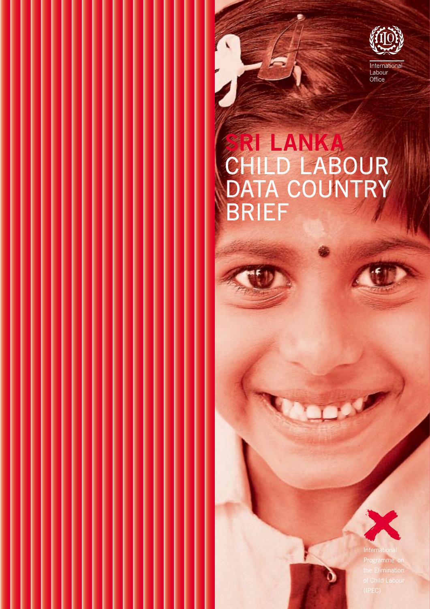

# **SRI LANKA** CHILD LABOUR DATA COUNTRY BRIEF

 $\overline{ }$ 



K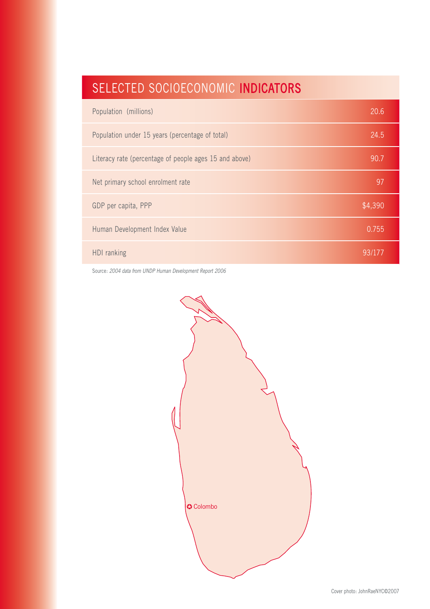# SELECTED SOCIOECONOMIC INDICATORS

| Population (millions)                                  | 20.6    |
|--------------------------------------------------------|---------|
| Population under 15 years (percentage of total)        | 24.5    |
| Literacy rate (percentage of people ages 15 and above) | 90.7    |
| Net primary school enrolment rate                      | 97      |
| GDP per capita, PPP                                    | \$4,390 |
| Human Development Index Value                          | 0.755   |
| HDI ranking                                            | 93/177  |

Source: 2004 data from UNDP Human Development Report 2006

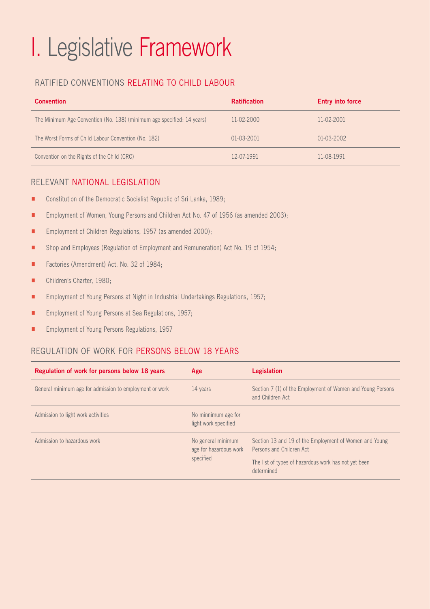# I. Legislative Framework

# RATIFIED CONVENTIONS RELATING TO CHILD LABOUR

| <b>Convention</b>                                                      | <b>Ratification</b> | <b>Entry into force</b> |
|------------------------------------------------------------------------|---------------------|-------------------------|
| The Minimum Age Convention (No. 138) (minimum age specified: 14 years) | 11-02-2000          | 11-02-2001              |
| The Worst Forms of Child Labour Convention (No. 182)                   | 01-03-2001          | 01-03-2002              |
| Convention on the Rights of the Child (CRC)                            | 12-07-1991          | 11-08-1991              |

## RELEVANT NATIONAL LEGISLATION

- Constitution of the Democratic Socialist Republic of Sri Lanka, 1989;
- **Employment of Women, Young Persons and Children Act No. 47 of 1956 (as amended 2003);**
- **Employment of Children Regulations, 1957 (as amended 2000);**
- **EXECT** Shop and Employees (Regulation of Employment and Remuneration) Act No. 19 of 1954;
- **E** Factories (Amendment) Act, No. 32 of 1984;
- **E** Children's Charter, 1980;
- **Employment of Young Persons at Night in Industrial Undertakings Regulations, 1957;**
- **Employment of Young Persons at Sea Regulations, 1957;**
- **Employment of Young Persons Regulations, 1957**

## REGULATION OF WORK FOR PERSONS BELOW 18 YEARS

| Regulation of work for persons below 18 years           | Age                                          | <b>Legislation</b>                                                                 |  |
|---------------------------------------------------------|----------------------------------------------|------------------------------------------------------------------------------------|--|
| General minimum age for admission to employment or work | 14 years                                     | Section 7 (1) of the Employment of Women and Young Persons<br>and Children Act     |  |
| Admission to light work activities                      | No minnimum age for<br>light work specified  |                                                                                    |  |
| Admission to hazardous work                             | No general minimum<br>age for hazardous work | Section 13 and 19 of the Employment of Women and Young<br>Persons and Children Act |  |
| specified                                               |                                              | The list of types of hazardous work has not yet been<br>determined                 |  |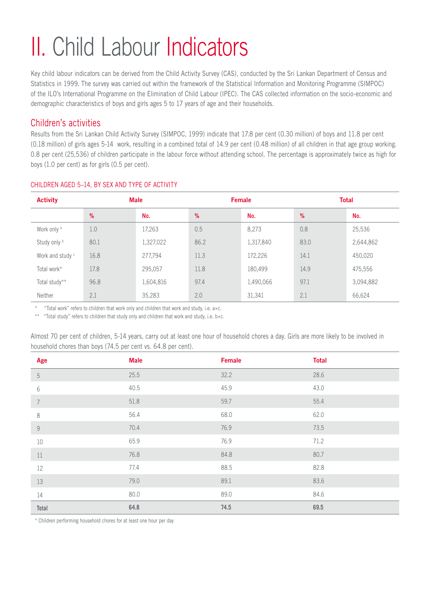# II. Child Labour Indicators

Key child labour indicators can be derived from the Child Activity Survey (CAS), conducted by the Sri Lankan Department of Census and Statistics in 1999. The survey was carried out within the framework of the Statistical Information and Monitoring Programme (SIMPOC) of the ILO's International Programme on the Elimination of Child Labour (IPEC). The CAS collected information on the socio-economic and demographic characteristics of boys and girls ages 5 to 17 years of age and their households.

# Children's activities

Results from the Sri Lankan Child Activity Survey (SIMPOC, 1999) indicate that 17.8 per cent (0.30 million) of boys and 11.8 per cent (0.18 million) of girls ages 5-14 work, resulting in a combined total of 14.9 per cent (0.48 million) of all children in that age group working. 0.8 per cent (25,536) of children participate in the labour force without attending school. The percentage is approximately twice as high for boys (1.0 per cent) as for girls (0.5 per cent).

| <b>Activity</b>        | <b>Male</b> |           |      | <b>Female</b> | <b>Total</b> |           |
|------------------------|-------------|-----------|------|---------------|--------------|-----------|
|                        | %           | No.       | %    | No.           | %            | No.       |
| Work only <sup>a</sup> | 1.0         | 17,263    | 0.5  | 8,273         | 0.8          | 25,536    |
| Study only b           | 80.1        | 1,327,022 | 86.2 | 1,317,840     | 83.0         | 2,644,862 |
| Work and study c       | 16.8        | 277,794   | 11.3 | 172,226       | 14.1         | 450,020   |
| Total work*            | 17.8        | 295,057   | 11.8 | 180,499       | 14.9         | 475,556   |
| Total study**          | 96.8        | 1,604,816 | 97.4 | 1,490,066     | 97.1         | 3,094,882 |
| Neither                | 2.1         | 35,283    | 2.0  | 31,341        | 2.1          | 66,624    |

#### CHILDREN AGED 5–14, BY SEX AND TYPE OF ACTIVITY

\* "Total work" refers to children that work only and children that work and study, i.e. a+c.

\*\* "Total study" refers to children that study only and children that work and study, i.e. b+c.

Almost 70 per cent of children, 5-14 years, carry out at least one hour of household chores a day. Girls are more likely to be involved in household chores than boys (74.5 per cent vs. 64.8 per cent).

| Age            | <b>Male</b> | Female | <b>Total</b> |
|----------------|-------------|--------|--------------|
| $5\,$          | 25.5        | 32.2   | 28.6         |
| $\,6\,$        | 40.5        | 45.9   | 43.0         |
| $\overline{7}$ | 51.8        | 59.7   | 55.4         |
| $\,8\,$        | 56.4        | 68.0   | 62.0         |
| $\mathcal G$   | 70.4        | 76.9   | 73.5         |
| $10\,$         | 65.9        | 76.9   | 71.2         |
| $11\,$         | 76.8        | 84.8   | 80.7         |
| 12             | 77.4        | 88.5   | 82.8         |
| 13             | 79.0        | 89.1   | 83.6         |
| 14             | 80.0        | 89.0   | 84.6         |
| Total          | 64.8        | 74.5   | 69.5         |

\* Children performing household chores for at least one hour per day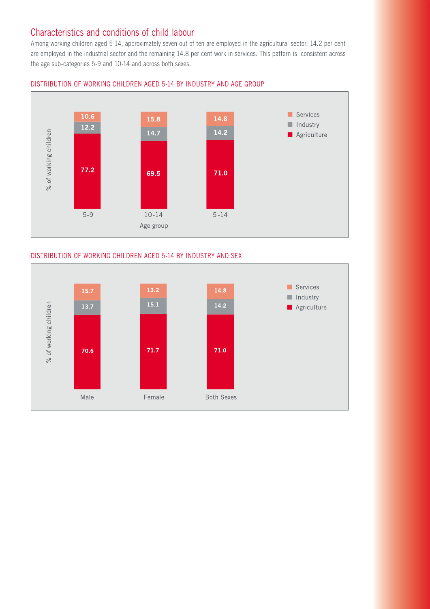# Characteristics and conditions of child labour

Among working children aged 5-14, approximately seven out of ten are employed in the agricultural sector, 14.2 per cent are employed in the industrial sector and the remaining 14.8 per cent work in services. This pattern is consistent across the age sub-categories 5-9 and 10-14 and across both sexes.



#### DISTRIBUTION OF WORKING CHILDREN AGED 5-14 BY INDUSTRY AND AGE GROUP

#### DISTRIBUTION OF WORKING CHILDREN AGED 5-14 BY INDUSTRY AND SEX

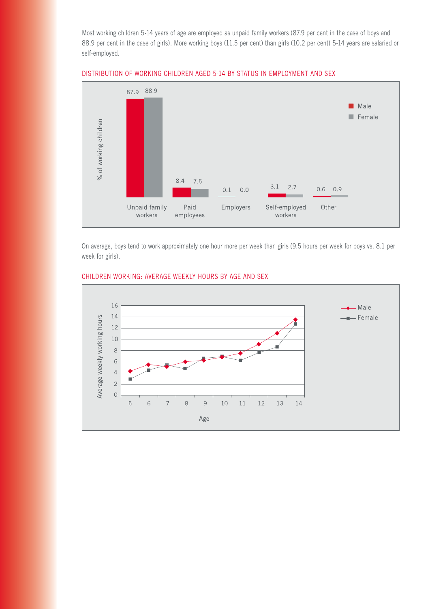Most working children 5-14 years of age are employed as unpaid family workers (87.9 per cent in the case of boys and 88.9 per cent in the case of girls). More working boys (11.5 per cent) than girls (10.2 per cent) 5-14 years are salaried or self-employed.



#### DISTRIBUTION OF WORKING CHILDREN AGED 5-14 BY STATUS IN EMPLOYMENT AND SEX

On average, boys tend to work approximately one hour more per week than girls (9.5 hours per week for boys vs. 8.1 per week for girls).



#### CHILDREN WORKING: AVERAGE WEEKLY HOURS BY AGE AND SEX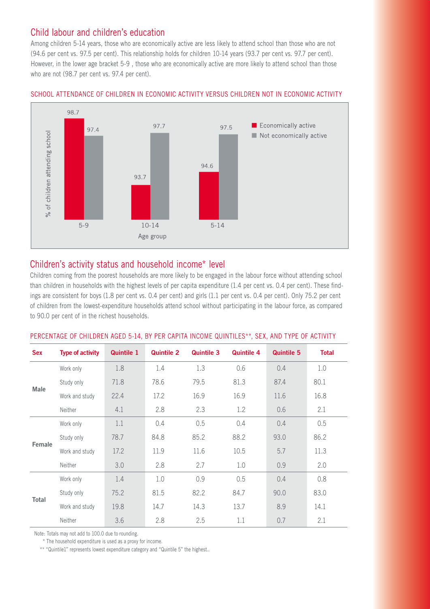# Child labour and children's education

Among children 5-14 years, those who are economically active are less likely to attend school than those who are not (94.6 per cent vs. 97.5 per cent). This relationship holds for children 10-14 years (93.7 per cent vs. 97.7 per cent). However, in the lower age bracket 5-9 , those who are economically active are more likely to attend school than those who are not (98.7 per cent vs. 97.4 per cent).



#### SCHOOL ATTENDANCE OF CHILDREN IN ECONOMIC ACTIVITY VERSUS CHILDREN NOT IN ECONOMIC ACTIVITY

## Children's activity status and household income\* level

Children coming from the poorest households are more likely to be engaged in the labour force without attending school than children in households with the highest levels of per capita expenditure (1.4 per cent vs. 0.4 per cent). These findings are consistent for boys (1.8 per cent vs. 0.4 per cent) and girls (1.1 per cent vs. 0.4 per cent). Only 75.2 per cent of children from the lowest-expenditure households attend school without participating in the labour force, as compared to 90.0 per cent of in the richest households.

| <b>Sex</b>   | <b>Type of activity</b> | <b>Quintile 1</b> | <b>Quintile 2</b> | <b>Quintile 3</b> | <b>Quintile 4</b> | <b>Quintile 5</b> | <b>Total</b> |
|--------------|-------------------------|-------------------|-------------------|-------------------|-------------------|-------------------|--------------|
| <b>Male</b>  | Work only               | 1.8               | 1.4               | 1.3               | 0.6               | 0.4               | 1.0          |
|              | Study only              | 71.8              | 78.6              | 79.5              | 81.3              | 87.4              | 80.1         |
|              | Work and study          | 22.4              | 17.2              | 16.9              | 16.9              | 11.6              | 16.8         |
|              | Neither                 | 4.1               | 2.8               | 2.3               | 1.2               | 0.6               | 2.1          |
| Female       | Work only               | 1.1               | 0.4               | 0.5               | 0.4               | 0.4               | 0.5          |
|              | Study only              | 78.7              | 84.8              | 85.2              | 88.2              | 93.0              | 86.2         |
|              | Work and study          | 17.2              | 11.9              | 11.6              | 10.5              | 5.7               | 11.3         |
|              | Neither                 | 3.0               | 2.8               | 2.7               | 1.0               | 0.9               | 2.0          |
| <b>Total</b> | Work only               | 1.4               | 1.0               | 0.9               | 0.5               | 0.4               | 0.8          |
|              | Study only              | 75.2              | 81.5              | 82.2              | 84.7              | 90.0              | 83.0         |
|              | Work and study          | 19.8              | 14.7              | 14.3              | 13.7              | 8.9               | 14.1         |
|              | Neither                 | 3.6               | 2.8               | 2.5               | 1.1               | 0.7               | 2.1          |

#### PERCENTAGE OF CHILDREN AGED 5-14, BY PER CAPITA INCOME QUINTILES\*\*, SEX, AND TYPE OF ACTIVITY

Note: Totals may not add to 100.0 due to rounding.

\* The household expenditure is used as a proxy for income.

\*\* "Quintile1" represents lowest expenditure category and "Quintile 5" the highest..